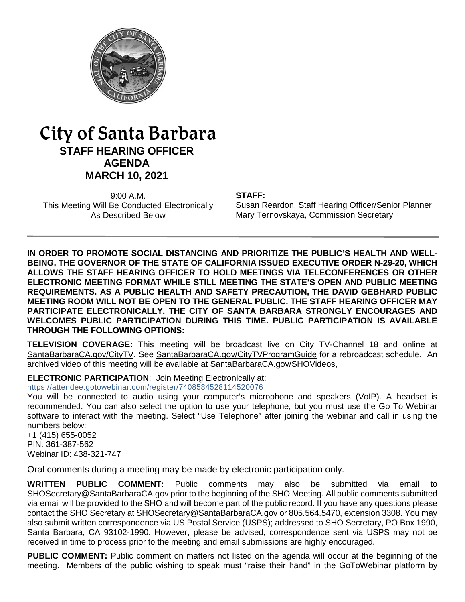

# City of Santa Barbara **STAFF HEARING OFFICER AGENDA MARCH 10, 2021**

9:00 A.M. This Meeting Will Be Conducted Electronically As Described Below

#### **STAFF:**

Susan Reardon, Staff Hearing Officer/Senior Planner Mary Ternovskaya, Commission Secretary

**IN ORDER TO PROMOTE SOCIAL DISTANCING AND PRIORITIZE THE PUBLIC'S HEALTH AND WELL-BEING, THE GOVERNOR OF THE STATE OF CALIFORNIA ISSUED EXECUTIVE ORDER N-29-20, WHICH ALLOWS THE STAFF HEARING OFFICER TO HOLD MEETINGS VIA TELECONFERENCES OR OTHER ELECTRONIC MEETING FORMAT WHILE STILL MEETING THE STATE'S OPEN AND PUBLIC MEETING REQUIREMENTS. AS A PUBLIC HEALTH AND SAFETY PRECAUTION, THE DAVID GEBHARD PUBLIC MEETING ROOM WILL NOT BE OPEN TO THE GENERAL PUBLIC. THE STAFF HEARING OFFICER MAY PARTICIPATE ELECTRONICALLY. THE CITY OF SANTA BARBARA STRONGLY ENCOURAGES AND WELCOMES PUBLIC PARTICIPATION DURING THIS TIME. PUBLIC PARTICIPATION IS AVAILABLE THROUGH THE FOLLOWING OPTIONS:**

**TELEVISION COVERAGE:** This meeting will be broadcast live on City TV-Channel 18 and online at [SantaBarbaraCA.gov/CityTV.](http://www.santabarbaraca.gov/CityTV) See [SantaBarbaraCA.gov/CityTVProgramGuide](http://www.santabarbaraca.gov/CityTVProgramGuide) for a rebroadcast schedule. An archived video of this meeting will be available at [SantaBarbaraCA.gov/SHOVideos,](http://www.santabarbaraca.gov/SHOVideos)

**ELECTRONIC PARTICIPATION**: Join Meeting Electronically at:

<https://attendee.gotowebinar.com/register/7408584528114520076>

You will be connected to audio using your computer's microphone and speakers (VoIP). A headset is recommended. You can also select the option to use your telephone, but you must use the Go To Webinar software to interact with the meeting. Select "Use Telephone" after joining the webinar and call in using the numbers below: +1 (415) 655-0052

PIN: 361-387-562 Webinar ID: 438-321-747

Oral comments during a meeting may be made by electronic participation only.

**WRITTEN PUBLIC COMMENT:** Public comments may also be submitted via email to [SHOSecretary@SantaBarbaraCA.gov](mailto:SHOSecretary@SantaBarbaraCA.gov) prior to the beginning of the SHO Meeting. All public comments submitted via email will be provided to the SHO and will become part of the public record. If you have any questions please contact the SHO Secretary a[t SHOSecretary@SantaBarbaraCA.gov](mailto:SHOSecretary@SantaBarbaraCA.gov) or 805.564.5470, extension 3308. You may also submit written correspondence via US Postal Service (USPS); addressed to SHO Secretary, PO Box 1990, Santa Barbara, CA 93102-1990. However, please be advised, correspondence sent via USPS may not be received in time to process prior to the meeting and email submissions are highly encouraged.

**PUBLIC COMMENT:** Public comment on matters not listed on the agenda will occur at the beginning of the meeting. Members of the public wishing to speak must "raise their hand" in the GoToWebinar platform by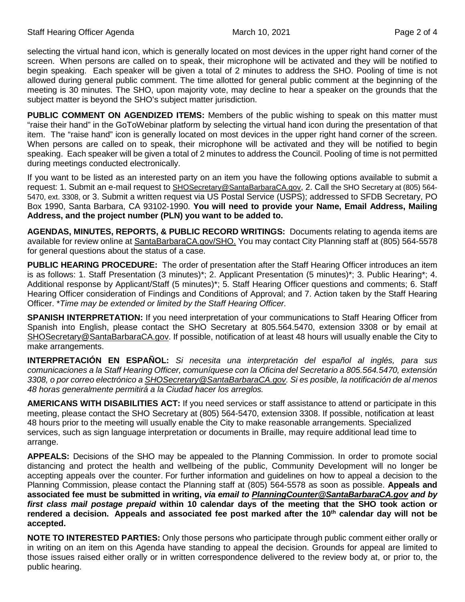selecting the virtual hand icon, which is generally located on most devices in the upper right hand corner of the screen. When persons are called on to speak, their microphone will be activated and they will be notified to begin speaking. Each speaker will be given a total of 2 minutes to address the SHO. Pooling of time is not allowed during general public comment. The time allotted for general public comment at the beginning of the meeting is 30 minutes. The SHO, upon majority vote, may decline to hear a speaker on the grounds that the subject matter is beyond the SHO's subject matter jurisdiction.

**PUBLIC COMMENT ON AGENDIZED ITEMS:** Members of the public wishing to speak on this matter must "raise their hand" in the GoToWebinar platform by selecting the virtual hand icon during the presentation of that item. The "raise hand" icon is generally located on most devices in the upper right hand corner of the screen. When persons are called on to speak, their microphone will be activated and they will be notified to begin speaking. Each speaker will be given a total of 2 minutes to address the Council. Pooling of time is not permitted during meetings conducted electronically.

If you want to be listed as an interested party on an item you have the following options available to submit a request: 1. Submit an e-mail request to [SHOSecretary@SantaBarbaraCA.gov,](mailto:SHOSecretary@SantaBarbaraCA.gov) 2. Call the SHO Secretary at (805) 564-5470, ext. 3308, or 3. Submit a written request via US Postal Service (USPS); addressed to SFDB Secretary, PO Box 1990, Santa Barbara, CA 93102-1990. **You will need to provide your Name, Email Address, Mailing Address, and the project number (PLN) you want to be added to.**

**AGENDAS, MINUTES, REPORTS, & PUBLIC RECORD WRITINGS:** Documents relating to agenda items are available for review online at [SantaBarbaraCA.gov/SHO.](http://www.santabarbaraca.gov/SHO) You may contact City Planning staff at (805) 564-5578 for general questions about the status of a case.

**PUBLIC HEARING PROCEDURE:** The order of presentation after the Staff Hearing Officer introduces an item is as follows: 1. Staff Presentation (3 minutes)\*; 2. Applicant Presentation (5 minutes)\*; 3. Public Hearing\*; 4. Additional response by Applicant/Staff (5 minutes)\*; 5. Staff Hearing Officer questions and comments; 6. Staff Hearing Officer consideration of Findings and Conditions of Approval; and 7. Action taken by the Staff Hearing Officer. \**Time may be extended or limited by the Staff Hearing Officer.*

**SPANISH INTERPRETATION:** If you need interpretation of your communications to Staff Hearing Officer from Spanish into English, please contact the SHO Secretary at 805.564.5470, extension 3308 or by email at [SHOSecretary@SantaBarbaraCA.gov.](mailto:SHOSecretary@SantaBarbaraCA.gov) If possible, notification of at least 48 hours will usually enable the City to make arrangements.

**INTERPRETACIÓN EN ESPAÑOL:** *Si necesita una interpretación del español al inglés, para sus comunicaciones a la Staff Hearing Officer, comuníquese con la Oficina del Secretario a 805.564.5470, extensión 3308, o por correo electrónico [a SHOSecretary@SantaBarbaraCA.gov.](mailto:SHOSecretary@SantaBarbaraCA.gov) Si es posible, la notificación de al menos 48 horas generalmente permitirá a la Ciudad hacer los arreglos.*

**AMERICANS WITH DISABILITIES ACT:** If you need services or staff assistance to attend or participate in this meeting, please contact the SHO Secretary at (805) 564-5470, extension 3308. If possible, notification at least 48 hours prior to the meeting will usually enable the City to make reasonable arrangements. Specialized services, such as sign language interpretation or documents in Braille, may require additional lead time to arrange.

**APPEALS:** Decisions of the SHO may be appealed to the Planning Commission. In order to promote social distancing and protect the health and wellbeing of the public, Community Development will no longer be accepting appeals over the counter. For further information and guidelines on how to appeal a decision to the Planning Commission, please contact the Planning staff at (805) 564-5578 as soon as possible. **Appeals and associated fee must be submitted in writing,** *via email to [PlanningCounter@SantaBarbaraCA.gov](mailto:PlanningCounter@SantaBarbaraCA.gov) and by first class mail postage prepaid* **within 10 calendar days of the meeting that the SHO took action or**  rendered a decision. Appeals and associated fee post marked after the 10<sup>th</sup> calendar day will not be **accepted.** 

**NOTE TO INTERESTED PARTIES:** Only those persons who participate through public comment either orally or in writing on an item on this Agenda have standing to appeal the decision. Grounds for appeal are limited to those issues raised either orally or in written correspondence delivered to the review body at, or prior to, the public hearing.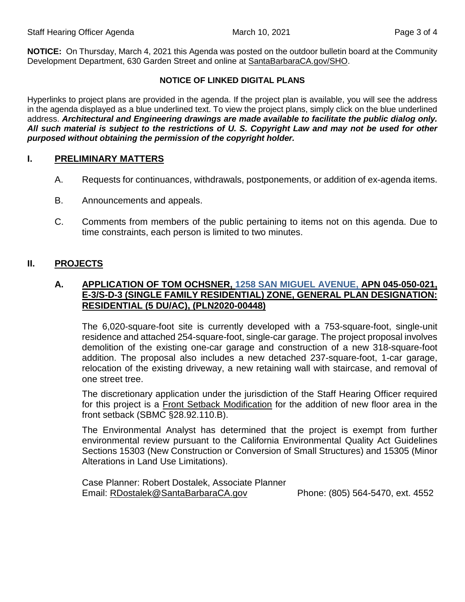**NOTICE:** On Thursday, March 4, 2021 this Agenda was posted on the outdoor bulletin board at the Community Development Department, 630 Garden Street and online at [SantaBarbaraCA.gov/SHO.](http://www.santabarbaraca.gov/SHO)

## **NOTICE OF LINKED DIGITAL PLANS**

Hyperlinks to project plans are provided in the agenda. If the project plan is available, you will see the address in the agenda displayed as a blue underlined text. To view the project plans, simply click on the blue underlined address. *Architectural and Engineering drawings are made available to facilitate the public dialog only. All such material is subject to the restrictions of U. S. Copyright Law and may not be used for other purposed without obtaining the permission of the copyright holder.*

## **I. PRELIMINARY MATTERS**

- A. Requests for continuances, withdrawals, postponements, or addition of ex-agenda items.
- B. Announcements and appeals.
- C. Comments from members of the public pertaining to items not on this agenda. Due to time constraints, each person is limited to two minutes.

#### **II. PROJECTS**

## **A. APPLICATION OF TOM OCHSNER, [1258 SAN MIGUEL AVENUE,](https://www.santabarbaraca.gov/civicax/filebank/blobdload.aspx?BlobID=234403) APN 045-050-021, E-3/S-D-3 (SINGLE FAMILY RESIDENTIAL) ZONE, GENERAL PLAN DESIGNATION: RESIDENTIAL (5 DU/AC), (PLN2020-00448)**

The 6,020-square-foot site is currently developed with a 753-square-foot, single-unit residence and attached 254-square-foot, single-car garage. The project proposal involves demolition of the existing one-car garage and construction of a new 318-square-foot addition. The proposal also includes a new detached 237-square-foot, 1-car garage, relocation of the existing driveway, a new retaining wall with staircase, and removal of one street tree.

The discretionary application under the jurisdiction of the Staff Hearing Officer required for this project is a Front Setback Modification for the addition of new floor area in the front setback (SBMC §28.92.110.B).

The Environmental Analyst has determined that the project is exempt from further environmental review pursuant to the California Environmental Quality Act Guidelines Sections 15303 (New Construction or Conversion of Small Structures) and 15305 (Minor Alterations in Land Use Limitations).

Case Planner: Robert Dostalek, Associate Planner Email: [RDostalek@SantaBarbaraCA.gov](mailto:RDostalek@SantaBarbaraCA.gov) Phone: (805) 564-5470, ext. 4552